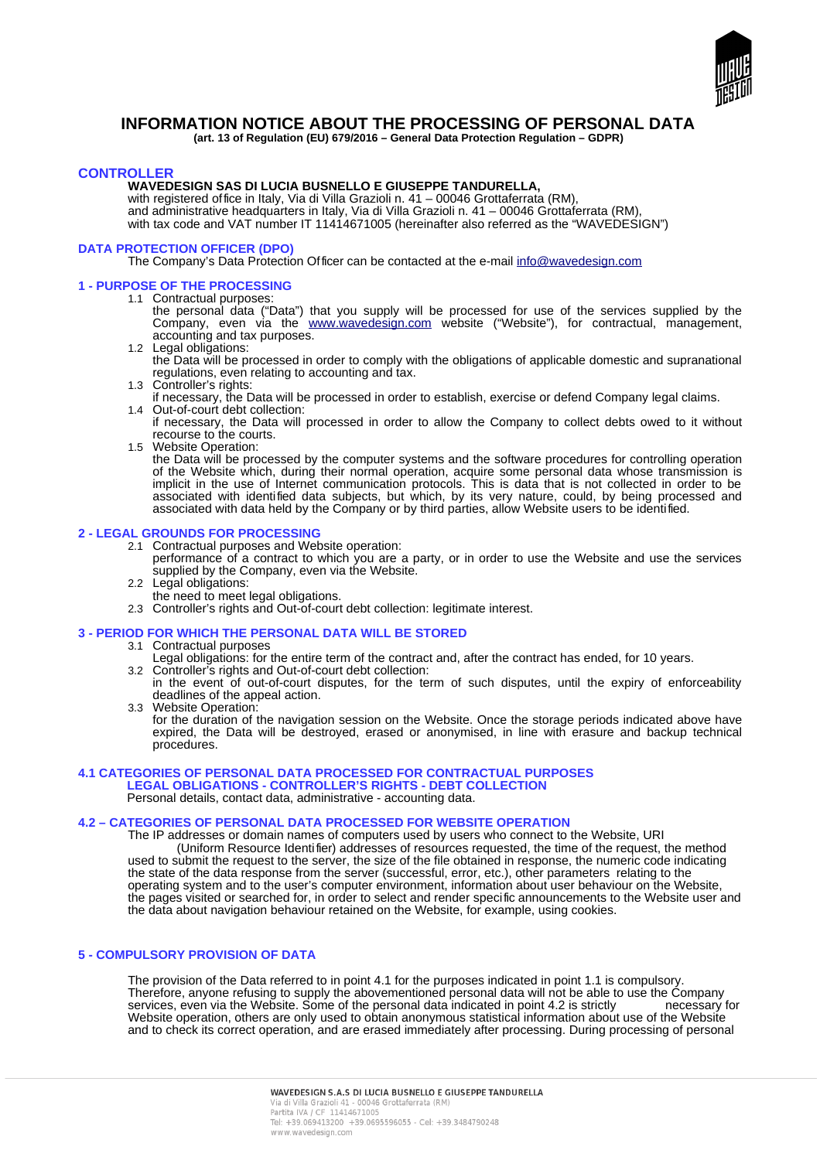

# **INFORMATION NOTICE ABOUT THE PROCESSING OF PERSONAL DATA**

**(art. 13 of Regulation (EU) 679/2016 – General Data Protection Regulation – GDPR)** 

# **CONTROLLER**

### **WAVEDESIGN SAS DI LUCIA BUSNELLO E GIUSEPPE TANDURELLA,**

with registered office in Italy, Via di Villa Grazioli n. 41 – 00046 Grottaferrata (RM), and administrative headquarters in Italy, Via di Villa Grazioli n. 41 – 00046 Grottaferrata (RM), with tax code and VAT number IT 11414671005 (hereinafter also referred as the "WAVEDESIGN")

### **DATA PROTECTION OFFICER (DPO)**

The Company's Data Protection Officer can be contacted at the e-mail [info@wavedesign.com](mailto:lucia.busnello@wavedesign.com)

#### **1 - PURPOSE OF THE PROCESSING**

- 1.1 Contractual purposes:
	- the personal data ("Data") that you supply will be processed for use of the services supplied by the Company, even via the [www.wavedesign.com](http://www.wavedesign.com/) website ("Website"), for contractual, management, accounting and tax purposes.
	- 1.2 Legal obligations:

the Data will be processed in order to comply with the obligations of applicable domestic and supranational regulations, even relating to accounting and tax.

- 1.3 Controller's rights:
- if necessary, the Data will be processed in order to establish, exercise or defend Company legal claims. 1.4 Out-of-court debt collection:
- if necessary, the Data will processed in order to allow the Company to collect debts owed to it without recourse to the courts.
- 1.5 Website Operation:

the Data will be processed by the computer systems and the software procedures for controlling operation of the Website which, during their normal operation, acquire some personal data whose transmission is implicit in the use of Internet communication protocols. This is data that is not collected in order to be associated with identified data subjects, but which, by its very nature, could, by being processed and associated with data held by the Company or by third parties, allow Website users to be identified.

# **2 - LEGAL GROUNDS FOR PROCESSING**

- 2.1 Contractual purposes and Website operation:
- performance of a contract to which you are a party, or in order to use the Website and use the services supplied by the Company, even via the Website.
- 2.2 Legal obligations:
- the need to meet legal obligations.
- 2.3 Controller's rights and Out-of-court debt collection: legitimate interest.

# **3 - PERIOD FOR WHICH THE PERSONAL DATA WILL BE STORED**

#### 3.1 Contractual purposes

- Legal obligations: for the entire term of the contract and, after the contract has ended, for 10 years.
- 3.2 Controller's rights and Out-of-court debt collection: in the event of out-of-court disputes, for the term of such disputes, until the expiry of enforceability deadlines of the appeal action.
- 3.3 Website Operation:
	- for the duration of the navigation session on the Website. Once the storage periods indicated above have expired, the Data will be destroyed, erased or anonymised, in line with erasure and backup technical procedures.

# **4.1 CATEGORIES OF PERSONAL DATA PROCESSED FOR CONTRACTUAL PURPOSES LEGAL OBLIGATIONS - CONTROLLER'S RIGHTS - DEBT COLLECTION**

Personal details, contact data, administrative - accounting data.

## **4.2 – CATEGORIES OF PERSONAL DATA PROCESSED FOR WEBSITE OPERATION**

The IP addresses or domain names of computers used by users who connect to the Website, URI (Uniform Resource Identifier) addresses of resources requested, the time of the request, the method used to submit the request to the server, the size of the file obtained in response, the numeric code indicating the state of the data response from the server (successful, error, etc.), other parameters relating to the operating system and to the user's computer environment, information about user behaviour on the Website, the pages visited or searched for, in order to select and render specific announcements to the Website user and the data about navigation behaviour retained on the Website, for example, using cookies.

### **5 - COMPULSORY PROVISION OF DATA**

The provision of the Data referred to in point 4.1 for the purposes indicated in point 1.1 is compulsory. Therefore, anyone refusing to supply the abovementioned personal data will not be able to use the Company<br>services, even via the Website. Some of the personal data indicated in point 4.2 is strictly enecessary for services, even via the Website. Some of the personal data indicated in point 4.2 is strictly Website operation, others are only used to obtain anonymous statistical information about use of the Website and to check its correct operation, and are erased immediately after processing. During processing of personal